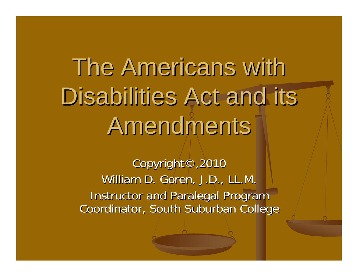# The Americans with Disabilities Act and its Amendments

Copyright©,2010 William D. Goren, J.D., LL.M. **Instructor and Paralegal Program** Coordinator, South Suburban College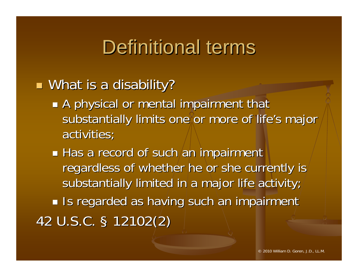### Definitional terms

#### $\blacksquare$  What is a disability?

 $\mathbb{R}^n$ A physical or mental impairment that substantially limits one or more of life's major activities;

 $\mathbb{R}^n$  $\blacksquare$  Has a record of such an impairment regardless of whether he or she currently is substantially limited in a major life activity;  $\mathbb{R}^n$ If Is regarded as having such an impairment 42 U.S.C. § 12102(2)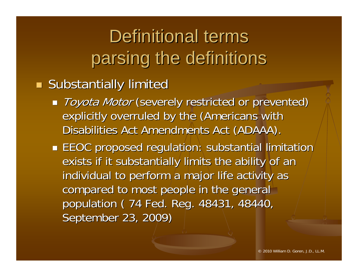### Definitional terms parsing the definitions

e<br>Ba **Substantially limited** 

- Toyota Motor (severely restricted or prevented) explicitly overruled by the (Americans with Disabilities Act Amendments Act (ADAAA).
- $\blacksquare$  EEOC proposed regulation: substantial limitation $^\prime$ exists if it substantially limits the ability of an individual to perform a major life activity as compared to most people in the general population ( 74 Fed. Reg. 48431, 48440, September 23, 2009)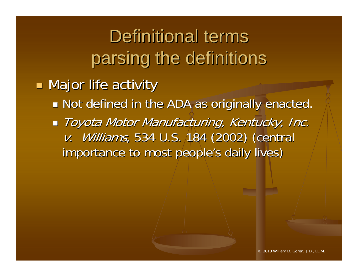# Definitional terms parsing the definitions

**Major life activity Major life activity** 

- $\mathbb{R}^n$ **Not defined in the ADA as originally enacted.**
- $\mathbb{R}^n$  $\blacksquare$  Toyota Motor Manufacturing, Kentucky, Inc. v. Williams, 534 U.S. 184 (2002) (central importance to most people's daily lives)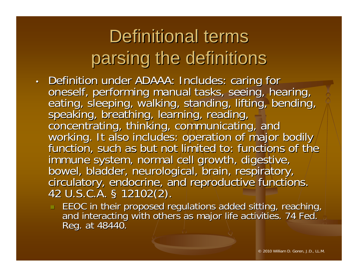# Definitional terms parsing the definitions

- Definition under ADAAA: Includes: caring for<br>oneself, performing manual tasks, seeing, hearing,<br>eating, sleeping, walking, standing, lifting, bending,<br>speaking, breathing, learning, reading,<br>concentrating, thinking, comm immune system, normal cell growth, digestive,<br>bowel, bladder, neurological, brain, respiratory,<br>circulatory, endocrine, and reproductive functions. § 12102(2). 12102(2).
	- EEOC in their proposed regulations added sitting, reaching, and interacting with others as major life activities. 74 Fed.<br>Reg. at 48440.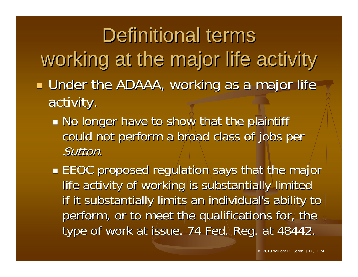Definitional terms working at the major life activity  $\blacksquare$  Under the ADAAA, working as a major life activity.

 $\mathbb{R}^n$ **No longer have to show that the plaintiff** could not perform a broad class of jobs per Sutton.

**EEOC** proposed regulation says that the major life activity of working is substantially limited if it substantially limits an individual's ability to perform, or to meet the qualifications for, the type of work at issue. 74 Fed. Reg. at 48442.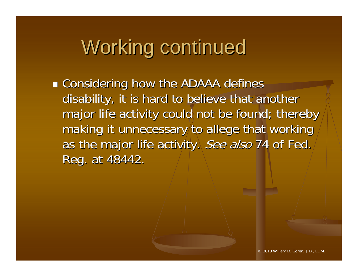# Working continued

 $\mathbb{R}^n$ **E** Considering how the ADAAA defines disability, it is hard to believe that another major life activity could not be found; thereby making it unnecessary to allege that working as the major life activity. See also 74 of Fed. Reg. at 48442.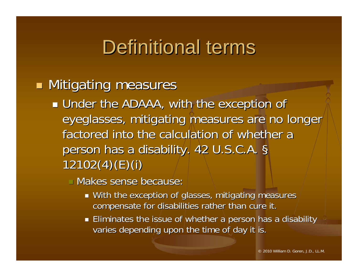### Definitional terms

#### **Mitigating measures**

 $\mathbb{R}^n$  $\blacksquare$  Under the ADAAA, with the exception of eyeglasses, mitigating measures are no longer factored into the calculation of whether a person has a disability. 42 U.S.C.A. §  $12102(4)(E)(i)$ 

 $\Box$  Makes sense because:

- $\blacksquare$  With the exception of glasses, mitigating measures  $\overline{\phantom{\rule{0pt}{1.5pt}} }$ compensate for disabilities rather than cure it.
- $\blacksquare$  Eliminates the issue of whether a person has a disability varies depending upon the time of day it is.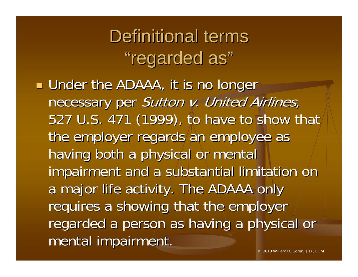**Definitional terms** "regarded as"

 $\blacksquare$  Under the ADAAA, it is no longer  $\blacksquare$ necessary per Sutton v. United Airlines, 527 U.S. 471 (1999), to have to show that the employer regards an employee as having both a physical or mental impairment and a substantial limitation on a major life activity. The ADAAA only requires a showing that the employer regarded a person as having a physical or mental impairment.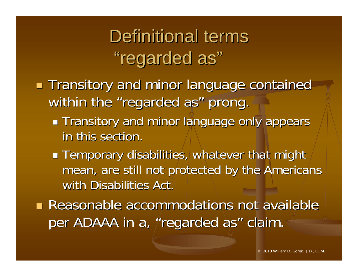### Definitional terms "regarded as"

- **Transitory and minor language contained** within the "regarded as" prong.
	- $\mathbb{R}^n$ **Transitory and minor language only appears** in this section.
	- $\mathbb{R}^n$  $\blacksquare$  Temporary disabilities, whatever that might mean, are still not protected by the Americans with Disabilities Act.

**Reasonable accommodations not available** per ADAAA in a, "regarded as" claim.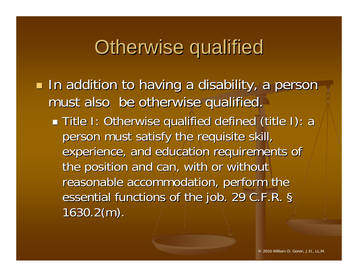### **Otherwise qualified**

 $\blacksquare$  In addition to having a disability, a person must also be otherwise qualified.

 $\mathbb{R}^n$ **Title I: Otherwise qualified defined (title I): a** person must satisfy the requisite skill, person must satisfy the requisite skill, experience, and education requirements of the position and can, with or without reasonable accommodation, perform the essential functions of the job. 29 C.F.R. §  $1630.2(m)$ .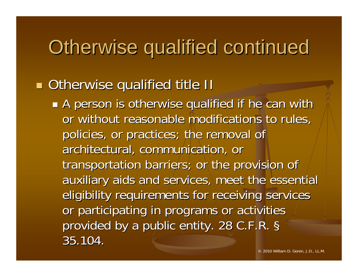### Otherwise qualified continued

#### **n** Otherwise qualified title II

 $\mathbb{R}^n$  $\blacksquare$  A person is otherwise qualified if he can with or without reasonable modifications to rules, policies, or practices; the removal of architectural, communication, or transportation barriers; or the provision of auxiliary aids and services, meet the essential eligibility requirements for receiving services or participating in programs or activities provided by a public entity. 28 C.F.R. § 35.104. 35.104.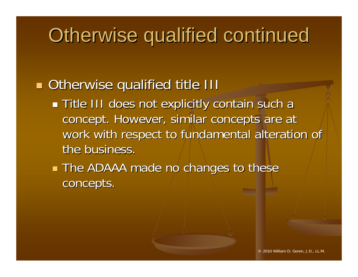### Otherwise qualified continued

#### **Otherwise qualified title III Otherwise qualified title III**

- $\mathbb{R}^n$  $\blacksquare$  Title III does not explicitly contain such a concept. However, similar concepts are at work with respect to fundamental alteration of the business.
- a l **The ADAAA made no changes to these** concepts.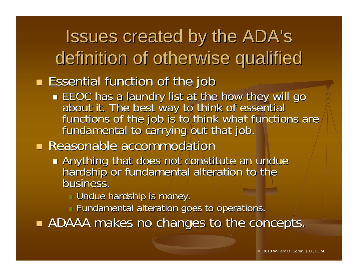Issues created by the ADA's definition of otherwise qualified

#### **Essential function of the job**

EEOC has a laundry list at the how they will go<br>about it. The best way to think of essential functions of the job is to think what functions are fundamental to carrying out that job.

#### **Reasonable accommodation**

- Anything that does not constitute an undue hard ship or fundamental alteration to the hardship or fundamental alteration to the business.
	- $\blacksquare$  Undue hardship is money.
	- $\textcolor{black}{\blacksquare}$  Fundamental alteration goes to operations.

e de **ADAAA** makes no changes to the concepts.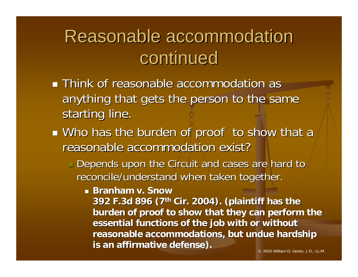#### Reasonable accommodation Reasonable accommodation continued

- **Think of reasonable accommodation as Think of reasonable accommodation as** anything that gets the person to the same starting line.
- $\mathbb{R}^n$  $\blacksquare$  Who has the burden of proof to show that a reasonable accommodation exist?
	- $\Box$  Depends upon the Circuit and cases are hard to  $\overline{\phantom{\phi}}$ reconcile/understand when taken together.
		- **Branham v. Snow**

**392 F.3d 896 (7th Cir. 2004). (plaintiff has the** burden of proof to show that they can perform the essential functions of the job with or without **reasonable accommodations, but undue hardship reasonable accommodations, but undue hardship is an affirmative defense). is an affirmative defense).**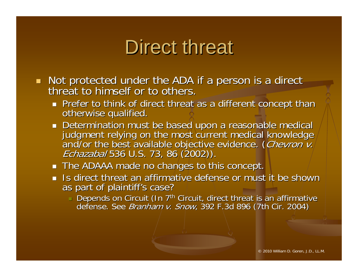### Direct threat

- $\mathbb{Z}$ Not protected under the ADA if a person is a direct<br>threat to himself or to others. threat to himself or to others.
	- Prefer to think of direct threat as a different concept than  $\rho$  otherwise qualified.
	- Determination must be based upon a reasonable medical<br>judgment relying on the most current medical knowledge<br>and/or the best available objective evidence. (*Chevron v.*<br>*Echazabal* 536 U.S. 73, 86 (2002)). *Echazabal* 536 U.S. 73, 86 (2002)).
	- $\blacksquare$  The ADAAA made no changes to this concept.
	- $\blacksquare$  Is direct threat an affirmative defense or must it be shown as part of plaintiff's case?
		- $\blacksquare$ Depends on Circuit (In 7<sup>th</sup> Circuit, direct threat is an affirmative defense. See *Branham v. Snow*, 392 F.3d 896 (7th Cir. 2004)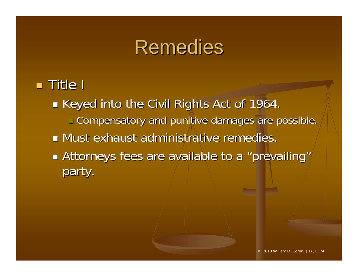#### Remedies

#### $\blacksquare$  Title I

 $\mathbb{R}^n$  $\blacksquare$  Keyed into the Civil Rights Act of 1964.  $\textcolor{black}{\blacksquare}$  Compensatory and punitive damages are possible. **Must exhaust administrative remedies.**  $\blacksquare$  $\mathbb{R}^n$ **Exattorneys fees are available to a "prevailing"** party.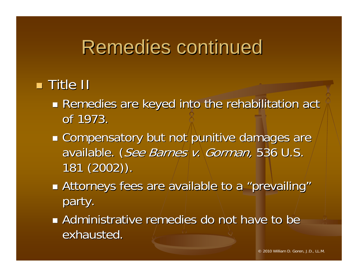### Remedies continued

#### $\blacksquare$  Title II

- $\mathbb{R}^n$ Remedies are keyed into the rehabilitation act of 1973.
- $\blacksquare$  Compensatory but not punitive damages are available. ( See Barnes v. Gorman, 536 U.S. 181 (2002)). 181 (2002)).
- **Example 2 Attorneys fees are available to a "prevailing"** party.
- **Administrative remedies do not have to be Administrative remedies do not have to be** exhausted.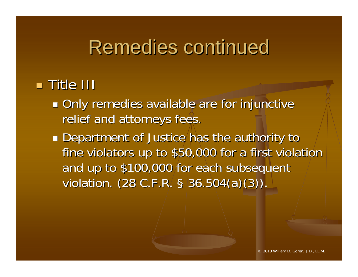### Remedies continued

#### $\blacksquare$  Title III

 $\mathbb{R}^n$ **Only remedies available are for injunctive** relief and attorneys fees.

**Department of Justice has the authority to** fine violators up to \$50,000 for a first violation and up to \$100,000 for each subsequent violation.  $(28 \text{ C.F.R. }$ § 36.504 $(a)(3))$ .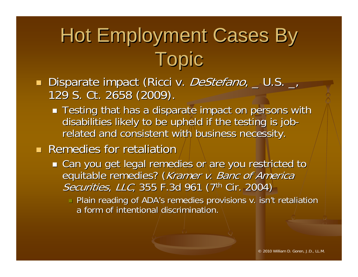# Hot Employment Cases By Topic

- a l Disparate impact (Ricci v. *DeStefano*, \_U.S. \_, , 129 S. Ct. 2658 (2009).
	- $\blacksquare$  Testing that has a disparate impact on persons with disabilities likely to be upheld if the testing is job- related and consistent with business necessity.
- **Remedies for retaliation** 
	- $\blacksquare$  Can you get legal remedies or are you restricted to  $\ell$ equitable remedies? (Kramer v. Banc of America Securities, LLC, 355 F.3d 961 (7<sup>th</sup> Cir. 2004)
		- $\blacksquare$  Plain reading of ADA's remedies provisions v. isn't retaliation a form of intentional discrimination.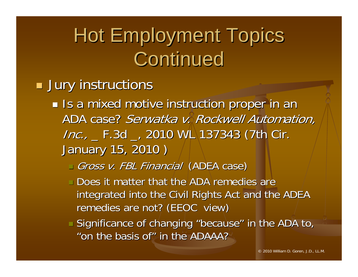# **Hot Employment Topics** Continued

#### $\blacksquare$  Jury instructions

- $\mathbb{R}^n$ **Io a mixed motive instruction proper in an** ADA case? *Serwatka v. Rockwell Automation,*  $Inc.,$  F.3d  $_$ , 2010 WL 137343 (7th Cir. January 15, 2010 ) January 15, 2010 )
	- □ *Gross v. FBL Financial* (ADEA case)
	- $\textcolor{black}{\blacksquare}$  Does it matter that the ADA remedies are integrated into the Civil Rights Act and the ADEA remedies are not? (EEOC view)
	- $\blacksquare$  Significance of changing "because" in the ADA to,  $\blacksquare$ "on the basis of" in the ADAAA?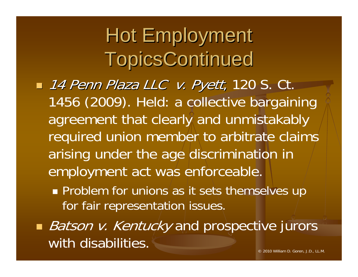# Hot Employment **TopicsContinued**

- $\blacksquare$  14 Penn Plaza LLC v. Pyett, 120 S. Ct. , 1456 (2009). Held: a collective bargaining agreement that clearly and unmistakably required union member to arbitrate claims arising under the age discrimination in employment act was enforceable.
	- **Problem for unions as it sets themselves up** for fair representation issues.
- *Batson v. Kentucky* and prospective jurors with disabilities.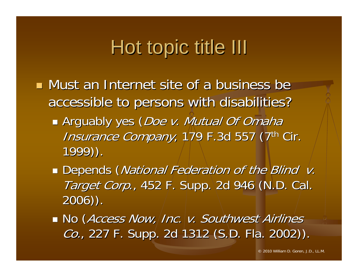# Hot topic title III

- $\blacksquare$  Must an Internet site of a business be accessible to persons with disabilities? accessible to persons with disabilities?
	- $\mathbb{R}^n$ Arguably yes (*Doe v. Mutual Of Omaha* Insurance Company, 179 F.3d 557 (7<sup>th</sup> Cir. 1999)). 1999)).
	- Depends (*National Federation of the Blind v.* Target Corp., 452 F. Supp. 2d 946 (N.D. Cal. 2006)). 2006)).
	- $\blacksquare$  No (*Access Now,|Inc.|v. Southwest Airlines* Co., 227 F. Supp. 2d 1312 (S.D. Fla. 2002)). , 227 F. Supp. 2d 1312 (S.D. Fla. 2002)).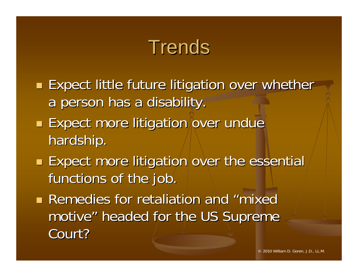# **Trends**

- **Expect little future litigation over whether Expect little future litigation over whether** a person has a disability.
- **Expect more litigation over undue** hardship.
- $\blacksquare$  Expect more litigation over the essential functions of the job.
- **Remedies for retaliation and "mixed"** motive" headed for the US Supreme Court?